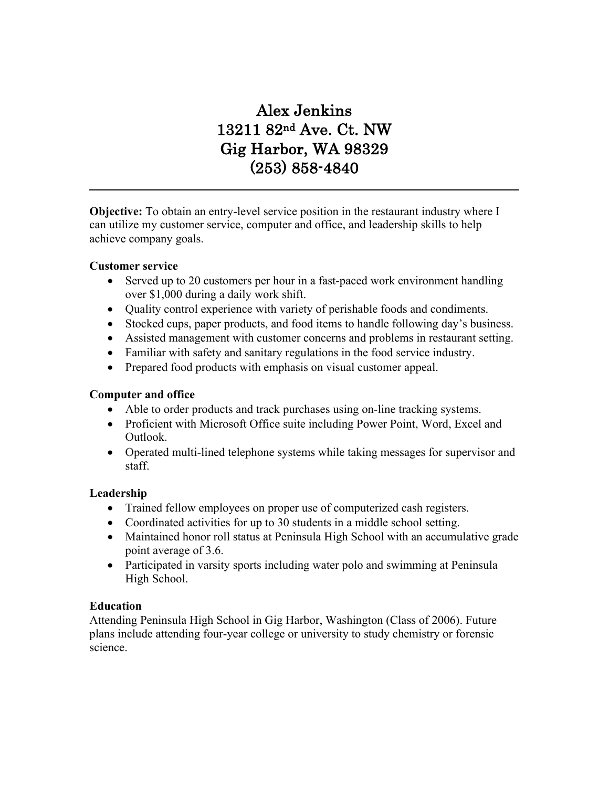# Alex Jenkins 13211 82nd Ave. Ct. NW Gig Harbor, WA 98329 (253) 858-4840

**Objective:** To obtain an entry-level service position in the restaurant industry where I can utilize my customer service, computer and office, and leadership skills to help achieve company goals.

#### **Customer service**

- Served up to 20 customers per hour in a fast-paced work environment handling over \$1,000 during a daily work shift.
- Quality control experience with variety of perishable foods and condiments.
- Stocked cups, paper products, and food items to handle following day's business.
- Assisted management with customer concerns and problems in restaurant setting.
- Familiar with safety and sanitary regulations in the food service industry.
- Prepared food products with emphasis on visual customer appeal.

#### **Computer and office**

- Able to order products and track purchases using on-line tracking systems.
- Proficient with Microsoft Office suite including Power Point, Word, Excel and Outlook.
- Operated multi-lined telephone systems while taking messages for supervisor and staff.

#### **Leadership**

- Trained fellow employees on proper use of computerized cash registers.
- Coordinated activities for up to 30 students in a middle school setting.
- Maintained honor roll status at Peninsula High School with an accumulative grade point average of 3.6.
- Participated in varsity sports including water polo and swimming at Peninsula High School.

#### **Education**

Attending Peninsula High School in Gig Harbor, Washington (Class of 2006). Future plans include attending four-year college or university to study chemistry or forensic science.